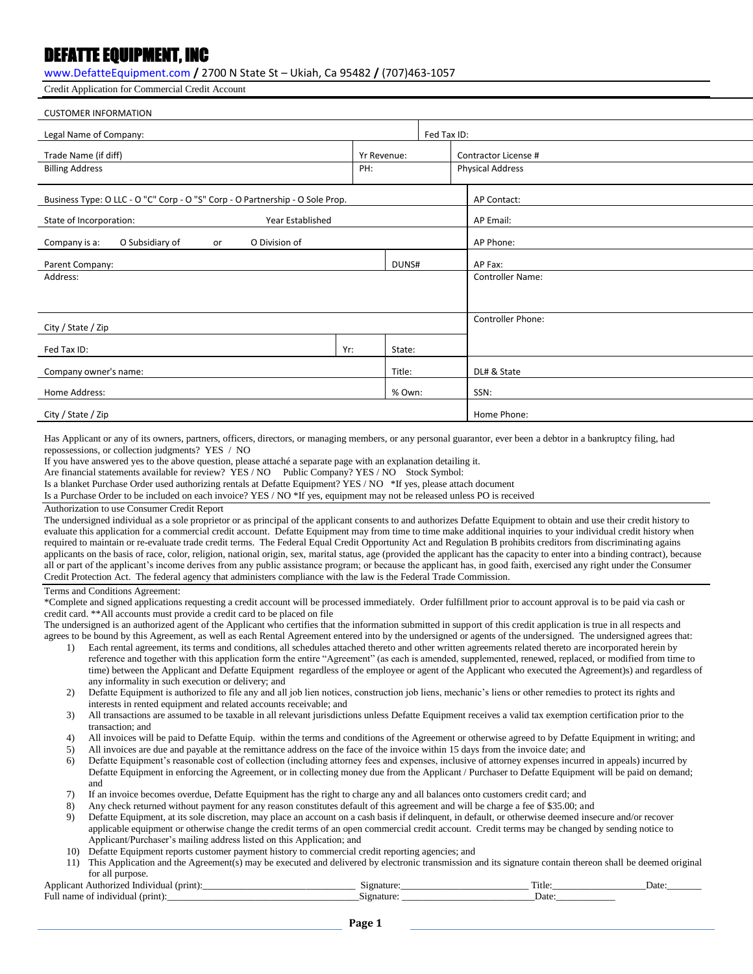## DEFATTE EQUIPMENT, INC

[www.DefatteEquipment.com](http://www.defatteequipment.com/) **/** 2700 N State St – Ukiah, Ca 95482 **/** (707)463-1057

Credit Application for Commercial Credit Account

| <b>CUSTOMER INFORMATION</b>                                                   |                   |             |                         |  |  |
|-------------------------------------------------------------------------------|-------------------|-------------|-------------------------|--|--|
| Legal Name of Company:                                                        |                   |             | Fed Tax ID:             |  |  |
| Trade Name (if diff)<br>Yr Revenue:                                           |                   |             | Contractor License #    |  |  |
| <b>Billing Address</b>                                                        | PH:               |             | <b>Physical Address</b> |  |  |
| Business Type: O LLC - O "C" Corp - O "S" Corp - O Partnership - O Sole Prop. |                   |             | AP Contact:             |  |  |
| State of Incorporation:<br>Year Established                                   |                   |             | AP Email:               |  |  |
| O Subsidiary of<br>O Division of<br>Company is a:<br>or                       |                   |             | AP Phone:               |  |  |
| Parent Company:                                                               |                   | DUNS#       | AP Fax:                 |  |  |
| Address:                                                                      |                   |             | <b>Controller Name:</b> |  |  |
|                                                                               |                   |             |                         |  |  |
| City / State / Zip                                                            | Controller Phone: |             |                         |  |  |
| Fed Tax ID:                                                                   | Yr:               | State:      |                         |  |  |
| Company owner's name:<br>Title:                                               |                   | DL# & State |                         |  |  |
| Home Address:                                                                 |                   | % Own:      | SSN:                    |  |  |
| City / State / Zip                                                            |                   |             | Home Phone:             |  |  |

Has Applicant or any of its owners, partners, officers, directors, or managing members, or any personal guarantor, ever been a debtor in a bankruptcy filing, had repossessions, or collection judgments? YES / NO

If you have answered yes to the above question, please attaché a separate page with an explanation detailing it.

Are financial statements available for review? YES / NO Public Company? YES / NO Stock Symbol:

Is a blanket Purchase Order used authorizing rentals at Defatte Equipment? YES / NO \*If yes, please attach document

Is a Purchase Order to be included on each invoice? YES / NO \*If yes, equipment may not be released unless PO is received

## Authorization to use Consumer Credit Report

The undersigned individual as a sole proprietor or as principal of the applicant consents to and authorizes Defatte Equipment to obtain and use their credit history to evaluate this application for a commercial credit account. Defatte Equipment may from time to time make additional inquiries to your individual credit history when required to maintain or re-evaluate trade credit terms. The Federal Equal Credit Opportunity Act and Regulation B prohibits creditors from discriminating agains applicants on the basis of race, color, religion, national origin, sex, marital status, age (provided the applicant has the capacity to enter into a binding contract), because all or part of the applicant's income derives from any public assistance program; or because the applicant has, in good faith, exercised any right under the Consumer Credit Protection Act. The federal agency that administers compliance with the law is the Federal Trade Commission.

Terms and Conditions Agreement:

\*Complete and signed applications requesting a credit account will be processed immediately. Order fulfillment prior to account approval is to be paid via cash or credit card. \*\*All accounts must provide a credit card to be placed on file

The undersigned is an authorized agent of the Applicant who certifies that the information submitted in support of this credit application is true in all respects and agrees to be bound by this Agreement, as well as each Rental Agreement entered into by the undersigned or agents of the undersigned. The undersigned agrees that:

- 1) Each rental agreement, its terms and conditions, all schedules attached thereto and other written agreements related thereto are incorporated herein by reference and together with this application form the entire "Agreement" (as each is amended, supplemented, renewed, replaced, or modified from time to time) between the Applicant and Defatte Equipment regardless of the employee or agent of the Applicant who executed the Agreement)s) and regardless of any informality in such execution or delivery; and
- 2) Defatte Equipment is authorized to file any and all job lien notices, construction job liens, mechanic's liens or other remedies to protect its rights and interests in rented equipment and related accounts receivable; and
- 3) All transactions are assumed to be taxable in all relevant jurisdictions unless Defatte Equipment receives a valid tax exemption certification prior to the transaction; and
- 4) All invoices will be paid to Defatte Equip. within the terms and conditions of the Agreement or otherwise agreed to by Defatte Equipment in writing; and
- 5) All invoices are due and payable at the remittance address on the face of the invoice within 15 days from the invoice date; and
- 6) Defatte Equipment's reasonable cost of collection (including attorney fees and expenses, inclusive of attorney expenses incurred in appeals) incurred by Defatte Equipment in enforcing the Agreement, or in collecting money due from the Applicant / Purchaser to Defatte Equipment will be paid on demand; and
- 7) If an invoice becomes overdue, Defatte Equipment has the right to charge any and all balances onto customers credit card; and
- 8) Any check returned without payment for any reason constitutes default of this agreement and will be charge a fee of \$35.00; and
- 9) Defatte Equipment, at its sole discretion, may place an account on a cash basis if delinquent, in default, or otherwise deemed insecure and/or recover applicable equipment or otherwise change the credit terms of an open commercial credit account. Credit terms may be changed by sending notice to Applicant/Purchaser's mailing address listed on this Application; and
- 10) Defatte Equipment reports customer payment history to commercial credit reporting agencies; and
- 11) This Application and the Agreement(s) may be executed and delivered by electronic transmission and its signature contain thereon shall be deemed original for all purpose.

| Annlicant<br>$(prnnt)$ :<br>† Individual<br>Authorizeo | 19 nature            | 11 L L | Date <sup>-</sup> |
|--------------------------------------------------------|----------------------|--------|-------------------|
| Full<br>(prnnt)<br>1nd1v1dual<br>name<br>വ             | . aature :<br>.sign- | Date:  |                   |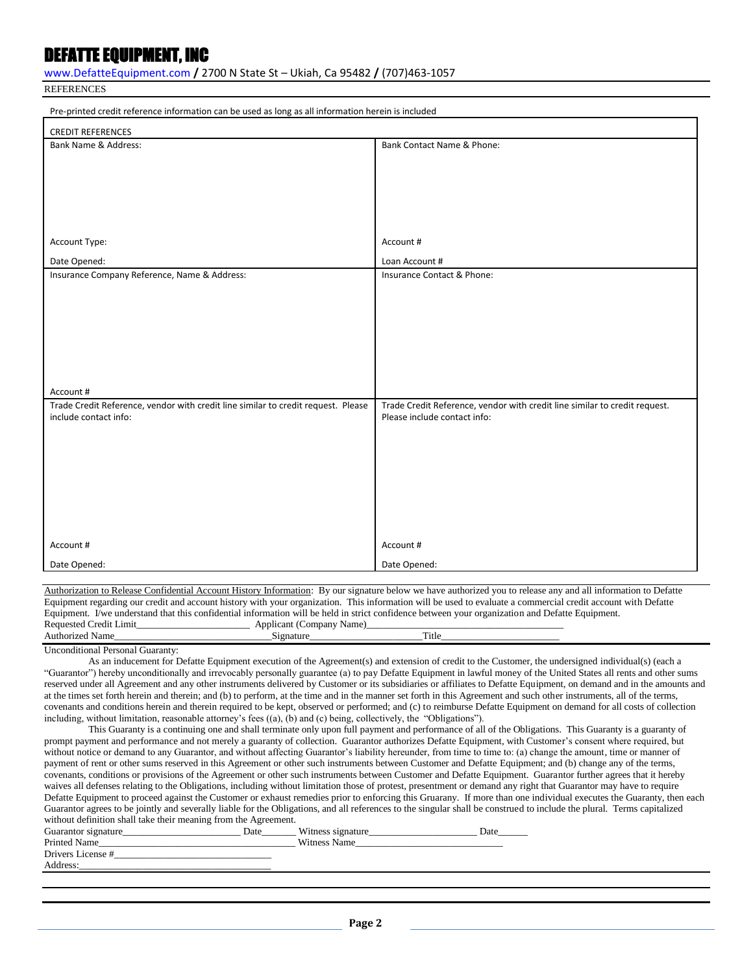## DEFATTE EQUIPMENT, INC

[www.DefatteEquipment.com](http://www.defatteequipment.com/) **/** 2700 N State St – Ukiah, Ca 95482 **/** (707)463-1057

**REFERENCES** 

| Pre-printed credit reference information can be used as long as all information herein is included |                                                                            |  |  |
|----------------------------------------------------------------------------------------------------|----------------------------------------------------------------------------|--|--|
| <b>CREDIT REFERENCES</b>                                                                           |                                                                            |  |  |
| Bank Name & Address:                                                                               | Bank Contact Name & Phone:                                                 |  |  |
|                                                                                                    |                                                                            |  |  |
|                                                                                                    |                                                                            |  |  |
|                                                                                                    |                                                                            |  |  |
|                                                                                                    |                                                                            |  |  |
|                                                                                                    |                                                                            |  |  |
| Account Type:                                                                                      | Account #                                                                  |  |  |
|                                                                                                    |                                                                            |  |  |
| Date Opened:                                                                                       | Loan Account #                                                             |  |  |
| Insurance Company Reference, Name & Address:                                                       | Insurance Contact & Phone:                                                 |  |  |
|                                                                                                    |                                                                            |  |  |
|                                                                                                    |                                                                            |  |  |
|                                                                                                    |                                                                            |  |  |
|                                                                                                    |                                                                            |  |  |
|                                                                                                    |                                                                            |  |  |
|                                                                                                    |                                                                            |  |  |
| Account #                                                                                          |                                                                            |  |  |
| Trade Credit Reference, vendor with credit line similar to credit request. Please                  | Trade Credit Reference, vendor with credit line similar to credit request. |  |  |
| include contact info:                                                                              | Please include contact info:                                               |  |  |
|                                                                                                    |                                                                            |  |  |
|                                                                                                    |                                                                            |  |  |
|                                                                                                    |                                                                            |  |  |
|                                                                                                    |                                                                            |  |  |
|                                                                                                    |                                                                            |  |  |
|                                                                                                    |                                                                            |  |  |
|                                                                                                    |                                                                            |  |  |
| Account #                                                                                          | Account #                                                                  |  |  |
|                                                                                                    |                                                                            |  |  |
| Date Opened:                                                                                       | Date Opened:                                                               |  |  |

Authorization to Release Confidential Account History Information: By our signature below we have authorized you to release any and all information to Defatte Equipment regarding our credit and account history with your organization. This information will be used to evaluate a commercial credit account with Defatte Equipment. I/we understand that this confidential information will be held in strict confidence between your organization and Defatte Equipment. Requested Credit Limit\_\_\_\_\_\_\_\_\_\_\_\_\_\_\_\_\_\_\_\_\_\_\_ Applicant (Company Name)\_\_\_\_\_\_\_\_\_\_\_\_\_\_\_\_\_\_\_\_\_\_\_\_\_\_\_\_\_\_\_\_\_\_\_\_\_\_\_\_ Authorized Name\_\_\_\_\_\_\_\_\_\_\_\_\_\_\_\_\_\_\_\_\_\_\_\_\_\_\_\_\_\_\_\_Signature\_\_\_\_\_\_\_\_\_\_\_\_\_\_\_\_\_\_\_\_\_\_\_Title\_\_\_\_\_\_\_\_\_\_\_\_\_\_\_\_\_\_\_\_\_\_\_\_

Unconditional Personal Guaranty:

As an inducement for Defatte Equipment execution of the Agreement(s) and extension of credit to the Customer, the undersigned individual(s) (each a "Guarantor") hereby unconditionally and irrevocably personally guarantee (a) to pay Defatte Equipment in lawful money of the United States all rents and other sums reserved under all Agreement and any other instruments delivered by Customer or its subsidiaries or affiliates to Defatte Equipment, on demand and in the amounts and at the times set forth herein and therein; and (b) to perform, at the time and in the manner set forth in this Agreement and such other instruments, all of the terms, covenants and conditions herein and therein required to be kept, observed or performed; and (c) to reimburse Defatte Equipment on demand for all costs of collection including, without limitation, reasonable attorney's fees ((a), (b) and (c) being, collectively, the "Obligations").

This Guaranty is a continuing one and shall terminate only upon full payment and performance of all of the Obligations. This Guaranty is a guaranty of prompt payment and performance and not merely a guaranty of collection. Guarantor authorizes Defatte Equipment, with Customer's consent where required, but without notice or demand to any Guarantor, and without affecting Guarantor's liability hereunder, from time to time to: (a) change the amount, time or manner of payment of rent or other sums reserved in this Agreement or other such instruments between Customer and Defatte Equipment; and (b) change any of the terms, covenants, conditions or provisions of the Agreement or other such instruments between Customer and Defatte Equipment. Guarantor further agrees that it hereby waives all defenses relating to the Obligations, including without limitation those of protest, presentment or demand any right that Guarantor may have to require Defatte Equipment to proceed against the Customer or exhaust remedies prior to enforcing this Gruarany. If more than one individual executes the Guaranty, then each Guarantor agrees to be jointly and severally liable for the Obligations, and all references to the singular shall be construed to include the plural. Terms capitalized without definition shall take their meaning from the Agreement.

| Guarantor signature | Date | Witness signature | Date |
|---------------------|------|-------------------|------|
| Printed Name        |      | Witness Name      |      |
| Drivers License #   |      |                   |      |
| Address:            |      |                   |      |